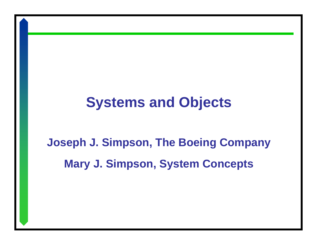# **Systems and Objects**

# **Joseph J. Simpson, The Boeing Company Mary J. Simpson, System Concepts**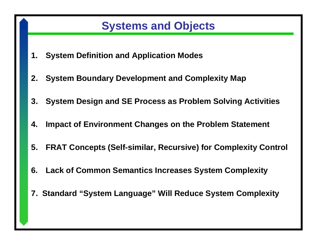# **Systems and Objects**

- **1. System Definition and Application Modes**
- **2. System Boundary Development and Complexity Map**
- **3. System Design and SE Process as Problem Solving Activities**
- **4. Impact of Environment Changes on the Problem Statement**
- **5. FRAT Concepts (Self-similar, Recursive) for Complexity Control**
- **6. Lack of Common Semantics Increases System Complexity**
- **7. Standard "System Language" Will Reduce System Complexity**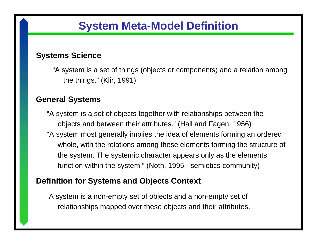## **System Meta-Model Definition**

#### **Systems Science**

"A system is a set of things (objects or components) and a relation among the things." (Klir, 1991)

#### **General Systems**

"A system is a set of objects together with relationships between the objects and between their attributes." (Hall and Fagen, 1956) "A system most generally implies the idea of elements forming an ordered whole, with the relations among these elements forming the structure of the system. The systemic character appears only as the elements function within the system." (Noth, 1995 - semiotics community)

#### **Definition for Systems and Objects Context**

A system is a non-empty set of objects and a non-empty set of relationships mapped over these objects and their attributes.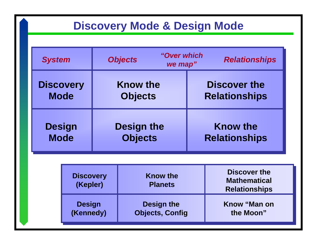# **Discovery Mode & Design Mode**

| <b>System</b>    | "Over which<br><b>Objects</b><br><b>Relationships</b><br>we map" |                      |  |
|------------------|------------------------------------------------------------------|----------------------|--|
| <b>Discovery</b> | <b>Know the</b>                                                  | <b>Discover the</b>  |  |
| <b>Mode</b>      | <b>Objects</b>                                                   | <b>Relationships</b> |  |
| <b>Design</b>    | <b>Design the</b>                                                | <b>Know the</b>      |  |
| <b>Mode</b>      | <b>Objects</b>                                                   | <b>Relationships</b> |  |

| <b>Discovery</b><br>(Kepler)                                              | <b>Know the</b><br><b>Planets</b> | Discover the<br><b>Mathematical</b><br><b>Relationships</b> |  |
|---------------------------------------------------------------------------|-----------------------------------|-------------------------------------------------------------|--|
| <b>Design the</b><br><b>Design</b><br><b>Objects, Config</b><br>(Kennedy) |                                   | Know "Man on<br>the Moon"                                   |  |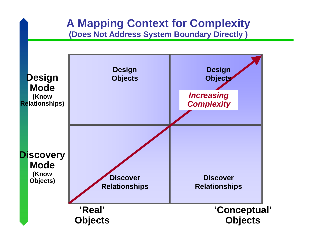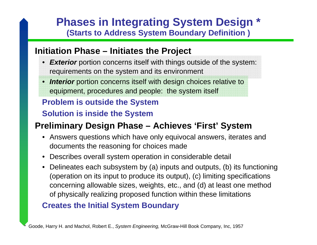### **Phases in Integrating System Design \* (Starts to Address System Boundary Definition )**

#### **Initiation Phase – Initiates the Project**

- *Exterior* portion concerns itself with things outside of the system: requirements on the system and its environment
- *Interior* portion concerns itself with design choices relative to equipment, procedures and people: the system itself

#### **Problem is outside the System**

#### **Solution is inside the System**

### **Preliminary Design Phase – Achieves 'First' System**

- Answers questions which have only equivocal answers, iterates and documents the reasoning for choices made
- Describes overall system operation in considerable detail
- Delineates each subsystem by (a) inputs and outputs, (b) its functioning (operation on its input to produce its output), (c) limiting specifications concerning allowable sizes, weights, etc., and (d) at least one method of physically realizing proposed function within these limitations

#### **Creates the Initial System Boundary**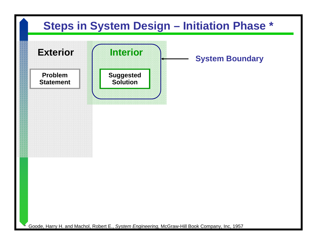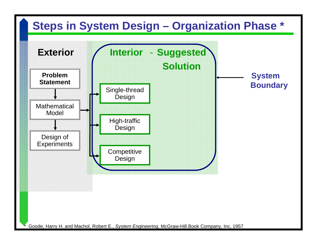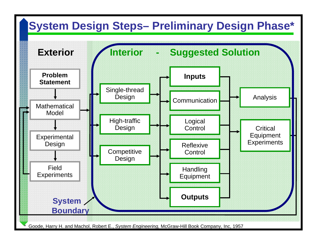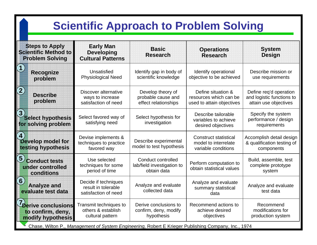# **Scientific Approach to Problem Solving**

| <b>Steps to Apply</b><br><b>Scientific Method to</b><br><b>Problem Solving</b> | <b>Early Man</b><br><b>Developing</b><br><b>Cultural Patterns</b>   | <b>Basic</b><br><b>Research</b>                                 | <b>Operations</b><br><b>Research</b>                                        | <b>System</b><br><b>Design</b>                                               |
|--------------------------------------------------------------------------------|---------------------------------------------------------------------|-----------------------------------------------------------------|-----------------------------------------------------------------------------|------------------------------------------------------------------------------|
| $\mathcal{L}$<br><b>Recognize</b><br>problem                                   | Unsatisfied<br><b>Physiological Need</b>                            | Identify gap in body of<br>scientific knowledge                 | Identify operational<br>objective to be achieved                            | Describe mission or<br>use requirements                                      |
| $\left( 2\right)$<br><b>Describe</b><br>problem                                | Discover alternative<br>ways to increase<br>satisfaction of need    | Develop theory of<br>probable cause and<br>effect relationships | Define situation &<br>resources which can be<br>used to attain objectives   | Define req'd operation<br>and logistic functions to<br>attain use objectives |
| $\overline{3}$<br><b>Select hypothesis</b><br>for solving problem              | Select favored way of<br>satisfying need                            | Select hypothesis for<br>investigation                          | Describe tailorable<br>variables to achieve<br>desired objectives           | Specify the system<br>performance / design<br>requirements                   |
| $\boldsymbol{4}$<br>Develop model for<br>testing hypothesis                    | Devise implements &<br>techniques to practice<br>favored way        | Describe experimental<br>model to test hypothesis               | <b>Construct statistical</b><br>model to interrelate<br>variable conditions | Accomplish detail design<br>& qualification testing of<br>components         |
| $\left(5\right)$<br><b>Conduct tests</b><br>under controlled<br>conditions     | Use selected<br>techniques for some<br>period of time               | Conduct controlled<br>lab/field investigation to<br>obtain data | Perform computation to<br>obtain statistical values                         | Build, assemble, test<br>complete prototype<br>system                        |
| $\bigodot$<br><b>Analyze and</b><br>evaluate test data                         | Decide if techniques<br>result in tolerable<br>satisfaction of need | Analyze and evaluate<br>collected data                          | Analyze and evaluate<br>summary statistical<br>data                         | Analyze and evaluate<br>test data                                            |
| <b>7</b> Derive conclusions<br>to confirm, deny,<br>modify hypothesis          | Transmit techniques to<br>others & establish<br>cultural pattern    | Derive conclusions to<br>confirm, deny, modify<br>hypothesis    | Recommend actions to<br>achieve desired<br>objectives                       | Recommend<br>modifications for<br>production system                          |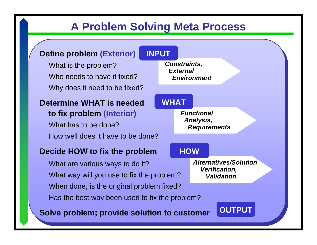# **A Problem Solving Meta Process**

#### **Define problem (Exterior)**

What is the problem? Who needs to have it fixed?Why does it need to be fixed?

#### **Determine WHAT is needed**

#### **to fix problem (Interior)** What has to be done?How well does it have to be done?

#### **Decide HOW to fix the problem**

What are various ways to do it? What way will you use to fix the problem? When done, is the original problem fixed? Has the best way been used to fix the problem?

**Solve problem; provide solution to customer**

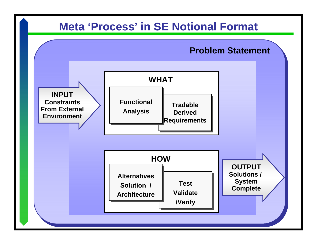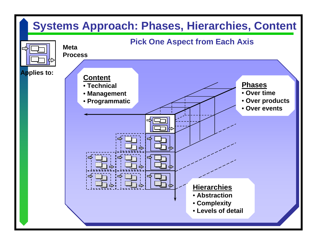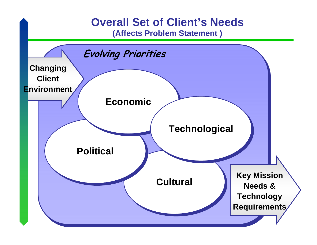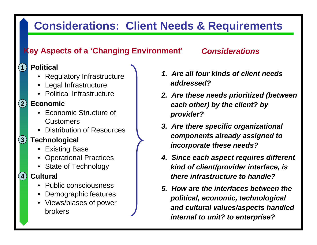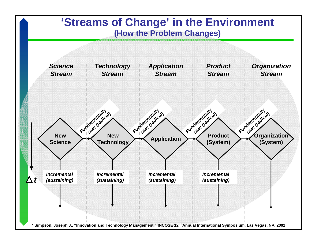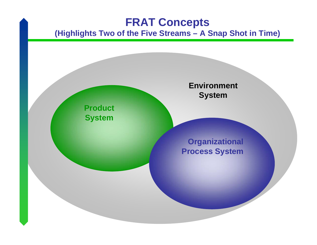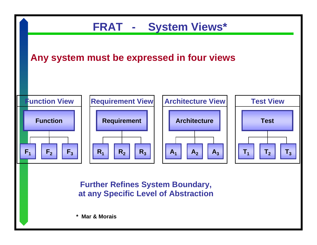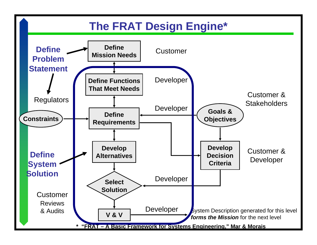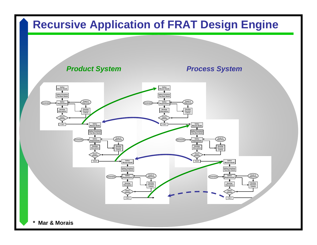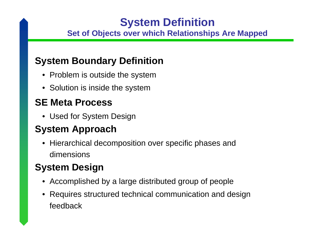# **System Definition**

#### **Set of Objects over which Relationships Are Mapped**

### **System Boundary Definition**

- Problem is outside the system
- Solution is inside the system

### **SE Meta Process**

• Used for System Design

### **System Approach**

• Hierarchical decomposition over specific phases and dimensions

## **System Design**

- Accomplished by a large distributed group of people
- Requires structured technical communication and design feedback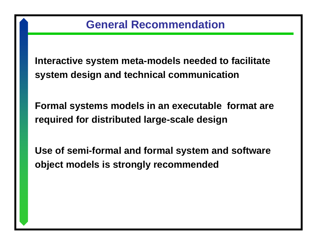**Interactive system meta-models needed to facilitate system design and technical communication**

**Formal systems models in an executable format are required for distributed large-scale design**

**Use of semi-formal and formal system and software object models is strongly recommended**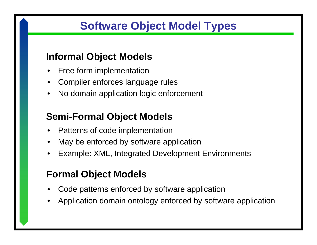# **Software Object Model Types**

### **Informal Object Models**

- •Free form implementation
- •Compiler enforces language rules
- $\bullet$ No domain application logic enforcement

### **Semi-Formal Object Models**

- •Patterns of code implementation
- •May be enforced by software application
- •Example: XML, Integrated Development Environments

### **Formal Object Models**

- •Code patterns enforced by software application
- •Application domain ontology enforced by software application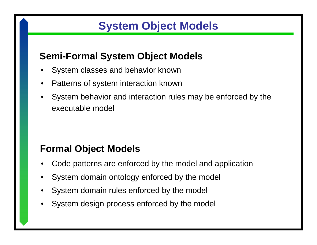# **System Object Models**

### **Semi-Formal System Object Models**

- •System classes and behavior known
- •Patterns of system interaction known
- • System behavior and interaction rules may be enforced by the executable model

### **Formal Object Models**

- •Code patterns are enforced by the model and application
- •System domain ontology enforced by the model
- •System domain rules enforced by the model
- •System design process enforced by the model